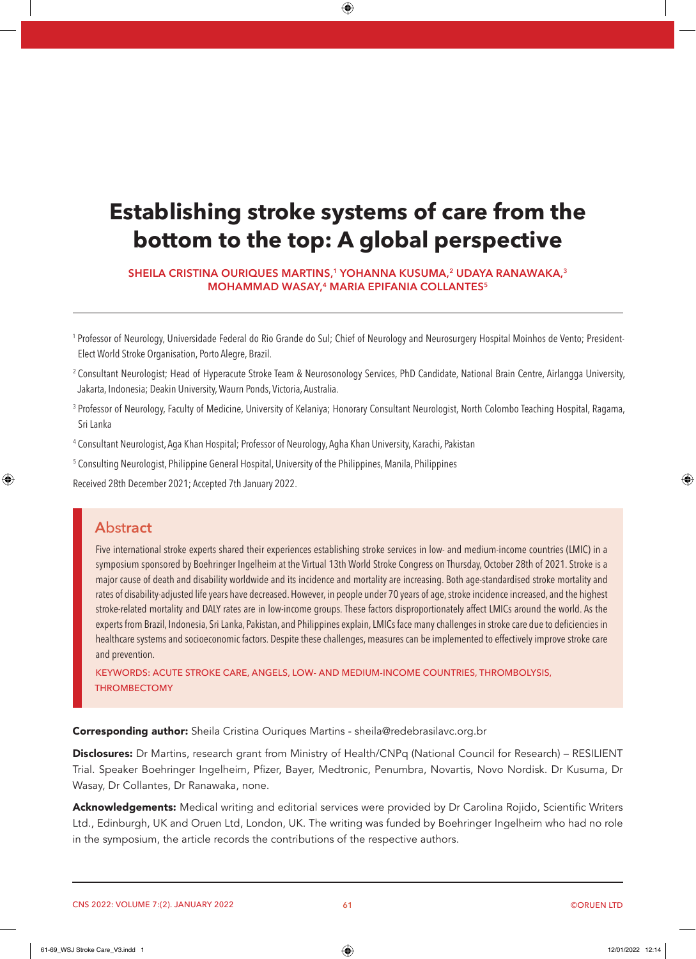# **Establishing stroke systems of care from the bottom to the top: A global perspective**

**SHEILA CRISTINA OURIQUES MARTINS,1 YOHANNA KUSUMA,2 UDAYA RANAWAKA,3 MOHAMMAD WASAY,4 MARIA EPIFANIA COLLANTES5**

<sup>1</sup> Professor of Neurology, Universidade Federal do Rio Grande do Sul; Chief of Neurology and Neurosurgery Hospital Moinhos de Vento; President-Elect World Stroke Organisation, Porto Alegre, Brazil.

- <sup>2</sup> Consultant Neurologist; Head of Hyperacute Stroke Team & Neurosonology Services, PhD Candidate, National Brain Centre, Airlangga University, Jakarta, Indonesia; Deakin University, Waurn Ponds, Victoria, Australia.
- <sup>3</sup> Professor of Neurology, Faculty of Medicine, University of Kelaniya; Honorary Consultant Neurologist, North Colombo Teaching Hospital, Ragama, Sri Lanka
- <sup>4</sup> Consultant Neurologist, Aga Khan Hospital; Professor of Neurology, Agha Khan University, Karachi, Pakistan
- <sup>5</sup> Consulting Neurologist, Philippine General Hospital, University of the Philippines, Manila, Philippines

Received 28th December 2021; Accepted 7th January 2022.

## **A**bst**ract**

Five international stroke experts shared their experiences establishing stroke services in low- and medium-income countries (LMIC) in a symposium sponsored by Boehringer Ingelheim at the Virtual 13th World Stroke Congress on Thursday, October 28th of 2021. Stroke is a major cause of death and disability worldwide and its incidence and mortality are increasing. Both age-standardised stroke mortality and rates of disability-adjusted life years have decreased. However, in people under 70 years of age, stroke incidence increased, and the highest stroke-related mortality and DALY rates are in low-income groups. These factors disproportionately affect LMICs around the world. As the experts from Brazil, Indonesia, Sri Lanka, Pakistan, and Philippines explain, LMICs face many challenges in stroke care due to deficiencies in healthcare systems and socioeconomic factors. Despite these challenges, measures can be implemented to effectively improve stroke care and prevention.

KEYWORDS: ACUTE STROKE CARE, ANGELS, LOW- AND MEDIUM-INCOME COUNTRIES, THROMBOLYSIS, **THROMBECTOMY** 

Corresponding author: Sheila Cristina Ouriques Martins - sheila@redebrasilavc.org.br

Disclosures: Dr Martins, research grant from Ministry of Health/CNPq (National Council for Research) – RESILIENT Trial. Speaker Boehringer Ingelheim, Pfizer, Bayer, Medtronic, Penumbra, Novartis, Novo Nordisk. Dr Kusuma, Dr Wasay, Dr Collantes, Dr Ranawaka, none.

**Acknowledgements:** Medical writing and editorial services were provided by Dr Carolina Rojido, Scientific Writers Ltd., Edinburgh, UK and Oruen Ltd, London, UK. The writing was funded by Boehringer Ingelheim who had no role in the symposium, the article records the contributions of the respective authors.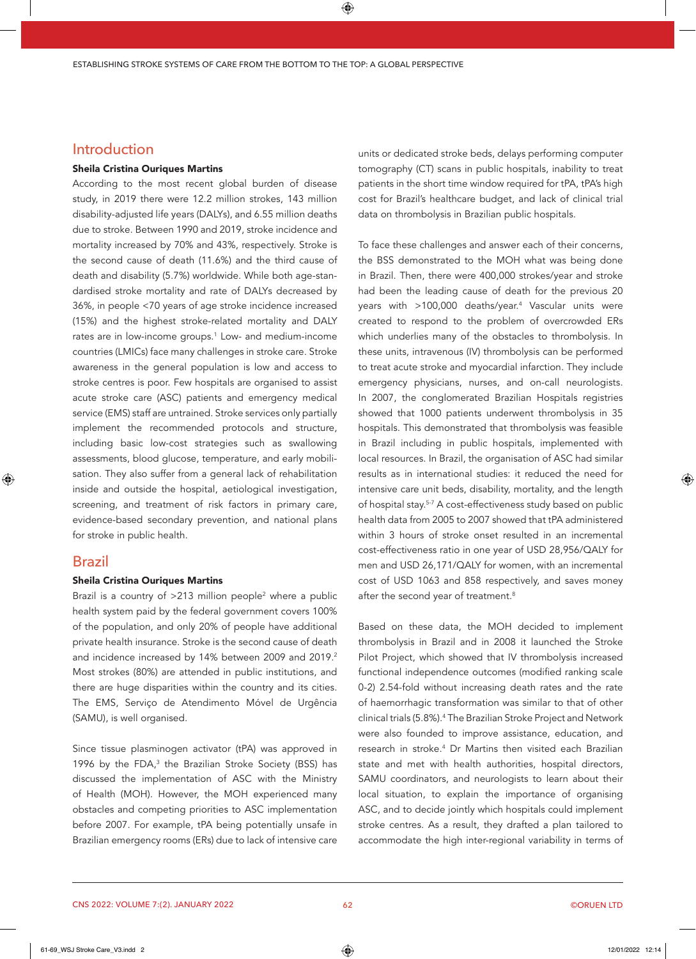## Introduction

#### Sheila Cristina Ouriques Martins

According to the most recent global burden of disease study, in 2019 there were 12.2 million strokes, 143 million disability-adjusted life years (DALYs), and 6.55 million deaths due to stroke. Between 1990 and 2019, stroke incidence and mortality increased by 70% and 43%, respectively. Stroke is the second cause of death (11.6%) and the third cause of death and disability (5.7%) worldwide. While both age-standardised stroke mortality and rate of DALYs decreased by 36%, in people <70 years of age stroke incidence increased (15%) and the highest stroke-related mortality and DALY rates are in low-income groups.<sup>1</sup> Low- and medium-income countries (LMICs) face many challenges in stroke care. Stroke awareness in the general population is low and access to stroke centres is poor. Few hospitals are organised to assist acute stroke care (ASC) patients and emergency medical service (EMS) staff are untrained. Stroke services only partially implement the recommended protocols and structure, including basic low-cost strategies such as swallowing assessments, blood glucose, temperature, and early mobilisation. They also suffer from a general lack of rehabilitation inside and outside the hospital, aetiological investigation, screening, and treatment of risk factors in primary care, evidence-based secondary prevention, and national plans for stroke in public health.

### Brazil

#### Sheila Cristina Ouriques Martins

Brazil is a country of  $>$ 213 million people<sup>2</sup> where a public health system paid by the federal government covers 100% of the population, and only 20% of people have additional private health insurance. Stroke is the second cause of death and incidence increased by 14% between 2009 and 2019.<sup>2</sup> Most strokes (80%) are attended in public institutions, and there are huge disparities within the country and its cities. The EMS, Serviço de Atendimento Móvel de Urgência (SAMU), is well organised.

Since tissue plasminogen activator (tPA) was approved in 1996 by the FDA, $^3$  the Brazilian Stroke Society (BSS) has discussed the implementation of ASC with the Ministry of Health (MOH). However, the MOH experienced many obstacles and competing priorities to ASC implementation before 2007. For example, tPA being potentially unsafe in Brazilian emergency rooms (ERs) due to lack of intensive care

units or dedicated stroke beds, delays performing computer tomography (CT) scans in public hospitals, inability to treat patients in the short time window required for tPA, tPA's high cost for Brazil's healthcare budget, and lack of clinical trial data on thrombolysis in Brazilian public hospitals.

To face these challenges and answer each of their concerns, the BSS demonstrated to the MOH what was being done in Brazil. Then, there were 400,000 strokes/year and stroke had been the leading cause of death for the previous 20 years with >100,000 deaths/year.<sup>4</sup> Vascular units were created to respond to the problem of overcrowded ERs which underlies many of the obstacles to thrombolysis. In these units, intravenous (IV) thrombolysis can be performed to treat acute stroke and myocardial infarction. They include emergency physicians, nurses, and on-call neurologists. In 2007, the conglomerated Brazilian Hospitals registries showed that 1000 patients underwent thrombolysis in 35 hospitals. This demonstrated that thrombolysis was feasible in Brazil including in public hospitals, implemented with local resources. In Brazil, the organisation of ASC had similar results as in international studies: it reduced the need for intensive care unit beds, disability, mortality, and the length of hospital stay.<sup>5-7</sup> A cost-effectiveness study based on public health data from 2005 to 2007 showed that tPA administered within 3 hours of stroke onset resulted in an incremental cost-effectiveness ratio in one year of USD 28,956/QALY for men and USD 26,171/QALY for women, with an incremental cost of USD 1063 and 858 respectively, and saves money after the second year of treatment.<sup>8</sup>

Based on these data, the MOH decided to implement thrombolysis in Brazil and in 2008 it launched the Stroke Pilot Project, which showed that IV thrombolysis increased functional independence outcomes (modified ranking scale 0-2) 2.54-fold without increasing death rates and the rate of haemorrhagic transformation was similar to that of other clinical trials (5.8%).<sup>4</sup> The Brazilian Stroke Project and Network were also founded to improve assistance, education, and research in stroke.<sup>4</sup> Dr Martins then visited each Brazilian state and met with health authorities, hospital directors, SAMU coordinators, and neurologists to learn about their local situation, to explain the importance of organising ASC, and to decide jointly which hospitals could implement stroke centres. As a result, they drafted a plan tailored to accommodate the high inter-regional variability in terms of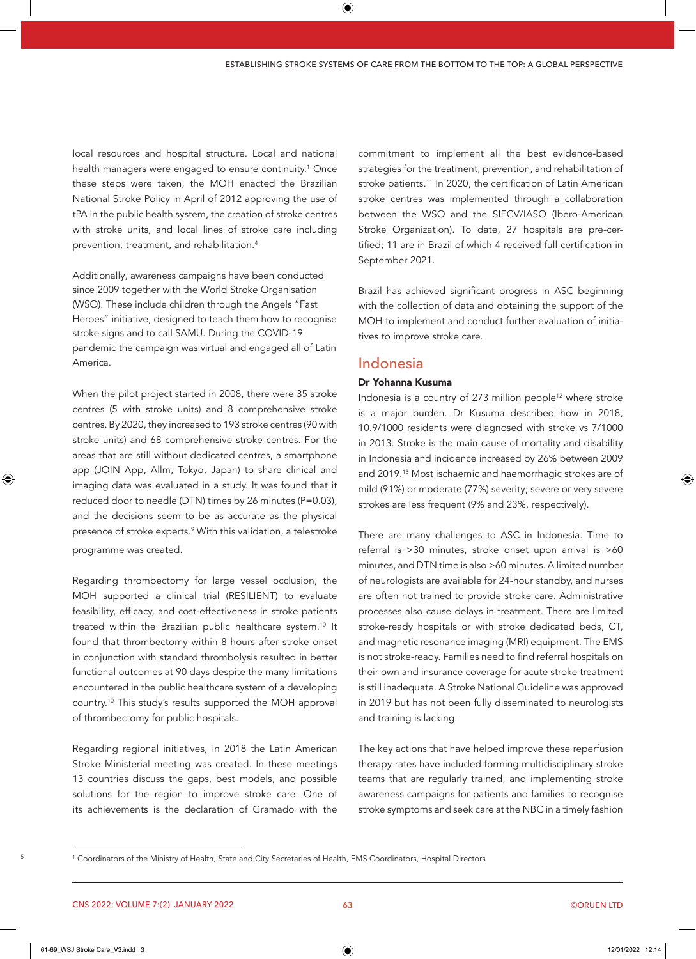local resources and hospital structure. Local and national health managers were engaged to ensure continuity.<sup>1</sup> Once these steps were taken, the MOH enacted the Brazilian National Stroke Policy in April of 2012 approving the use of tPA in the public health system, the creation of stroke centres with stroke units, and local lines of stroke care including prevention, treatment, and rehabilitation.4

Additionally, awareness campaigns have been conducted since 2009 together with the World Stroke Organisation (WSO). These include children through the Angels "Fast Heroes" initiative, designed to teach them how to recognise stroke signs and to call SAMU. During the COVID-19 pandemic the campaign was virtual and engaged all of Latin America.

programme was created. When the pilot project started in 2008, there were 35 stroke centres (5 with stroke units) and 8 comprehensive stroke centres. By 2020, they increased to 193 stroke centres (90 with stroke units) and 68 comprehensive stroke centres. For the areas that are still without dedicated centres, a smartphone app (JOIN App, Allm, Tokyo, Japan) to share clinical and imaging data was evaluated in a study. It was found that it reduced door to needle (DTN) times by 26 minutes (P=0.03), and the decisions seem to be as accurate as the physical presence of stroke experts.<sup>9</sup> With this validation, a telestroke

Regarding thrombectomy for large vessel occlusion, the MOH supported a clinical trial (RESILIENT) to evaluate feasibility, efficacy, and cost-effectiveness in stroke patients treated within the Brazilian public healthcare system.<sup>10</sup> It found that thrombectomy within 8 hours after stroke onset in conjunction with standard thrombolysis resulted in better functional outcomes at 90 days despite the many limitations encountered in the public healthcare system of a developing country.10 This study's results supported the MOH approval of thrombectomy for public hospitals.

Regarding regional initiatives, in 2018 the Latin American Stroke Ministerial meeting was created. In these meetings 13 countries discuss the gaps, best models, and possible solutions for the region to improve stroke care. One of its achievements is the declaration of Gramado with the

commitment to implement all the best evidence-based strategies for the treatment, prevention, and rehabilitation of stroke patients.<sup>11</sup> In 2020, the certification of Latin American stroke centres was implemented through a collaboration between the WSO and the SIECV/IASO (Ibero-American Stroke Organization). To date, 27 hospitals are pre-certified; 11 are in Brazil of which 4 received full certification in September 2021.

Brazil has achieved significant progress in ASC beginning with the collection of data and obtaining the support of the MOH to implement and conduct further evaluation of initiatives to improve stroke care.

## Indonesia

#### Dr Yohanna Kusuma

Indonesia is a country of 273 million people<sup>12</sup> where stroke is a major burden. Dr Kusuma described how in 2018, 10.9/1000 residents were diagnosed with stroke vs 7/1000 in 2013. Stroke is the main cause of mortality and disability in Indonesia and incidence increased by 26% between 2009 and 2019.13 Most ischaemic and haemorrhagic strokes are of mild (91%) or moderate (77%) severity; severe or very severe strokes are less frequent (9% and 23%, respectively).

There are many challenges to ASC in Indonesia. Time to referral is  $>30$  minutes, stroke onset upon arrival is  $>60$ minutes, and DTN time is also >60 minutes. A limited number of neurologists are available for 24-hour standby, and nurses are often not trained to provide stroke care. Administrative processes also cause delays in treatment. There are limited stroke-ready hospitals or with stroke dedicated beds, CT, and magnetic resonance imaging (MRI) equipment. The EMS is not stroke-ready. Families need to find referral hospitals on their own and insurance coverage for acute stroke treatment is still inadequate. A Stroke National Guideline was approved in 2019 but has not been fully disseminated to neurologists and training is lacking.

The key actions that have helped improve these reperfusion therapy rates have included forming multidisciplinary stroke teams that are regularly trained, and implementing stroke awareness campaigns for patients and families to recognise stroke symptoms and seek care at the NBC in a timely fashion

CNS 2022: VOLUME 7:(2). JANUARY 2022

<sup>1</sup> Coordinators of the Ministry of Health, State and City Secretaries of Health, EMS Coordinators, Hospital Directors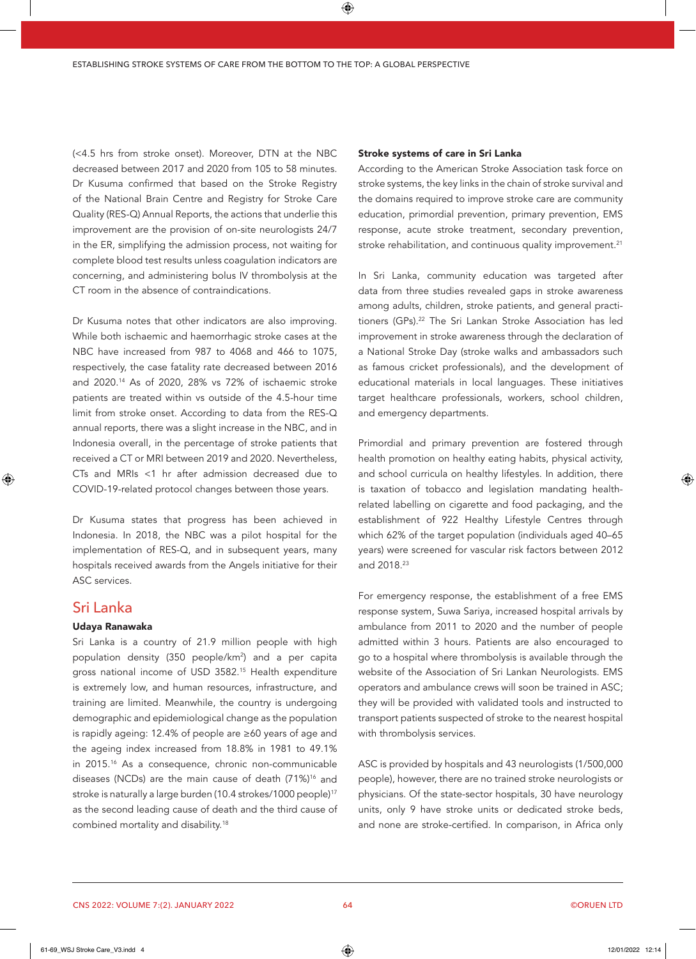(<4.5 hrs from stroke onset). Moreover, DTN at the NBC decreased between 2017 and 2020 from 105 to 58 minutes. Dr Kusuma confirmed that based on the Stroke Registry of the National Brain Centre and Registry for Stroke Care Quality (RES-Q) Annual Reports, the actions that underlie this improvement are the provision of on-site neurologists 24/7 in the ER, simplifying the admission process, not waiting for complete blood test results unless coagulation indicators are concerning, and administering bolus IV thrombolysis at the CT room in the absence of contraindications.

Dr Kusuma notes that other indicators are also improving. While both ischaemic and haemorrhagic stroke cases at the NBC have increased from 987 to 4068 and 466 to 1075, respectively, the case fatality rate decreased between 2016 and 2020.14 As of 2020, 28% vs 72% of ischaemic stroke patients are treated within vs outside of the 4.5-hour time limit from stroke onset. According to data from the RES-Q annual reports, there was a slight increase in the NBC, and in Indonesia overall, in the percentage of stroke patients that received a CT or MRI between 2019 and 2020. Nevertheless, CTs and MRIs <1 hr after admission decreased due to COVID-19-related protocol changes between those years.

Dr Kusuma states that progress has been achieved in Indonesia. In 2018, the NBC was a pilot hospital for the implementation of RES-Q, and in subsequent years, many hospitals received awards from the Angels initiative for their ASC services.

## Sri Lanka

#### Udaya Ranawaka

Sri Lanka is a country of 21.9 million people with high population density (350 people/km2 ) and a per capita gross national income of USD 3582.15 Health expenditure is extremely low, and human resources, infrastructure, and training are limited. Meanwhile, the country is undergoing demographic and epidemiological change as the population is rapidly ageing: 12.4% of people are  $\geq$  60 years of age and the ageing index increased from 18.8% in 1981 to 49.1% in 2015.16 As a consequence, chronic non-communicable diseases (NCDs) are the main cause of death (71%)<sup>16</sup> and stroke is naturally a large burden (10.4 strokes/1000 people)<sup>17</sup> as the second leading cause of death and the third cause of combined mortality and disability.18

#### Stroke systems of care in Sri Lanka

According to the American Stroke Association task force on stroke systems, the key links in the chain of stroke survival and the domains required to improve stroke care are community education, primordial prevention, primary prevention, EMS response, acute stroke treatment, secondary prevention, stroke rehabilitation, and continuous quality improvement.<sup>21</sup>

In Sri Lanka, community education was targeted after data from three studies revealed gaps in stroke awareness among adults, children, stroke patients, and general practitioners (GPs).<sup>22</sup> The Sri Lankan Stroke Association has led improvement in stroke awareness through the declaration of a National Stroke Day (stroke walks and ambassadors such as famous cricket professionals), and the development of educational materials in local languages. These initiatives target healthcare professionals, workers, school children, and emergency departments.

Primordial and primary prevention are fostered through health promotion on healthy eating habits, physical activity, and school curricula on healthy lifestyles. In addition, there is taxation of tobacco and legislation mandating healthrelated labelling on cigarette and food packaging, and the establishment of 922 Healthy Lifestyle Centres through which 62% of the target population (individuals aged 40–65 years) were screened for vascular risk factors between 2012 and 2018.23

For emergency response, the establishment of a free EMS response system, Suwa Sariya, increased hospital arrivals by ambulance from 2011 to 2020 and the number of people admitted within 3 hours. Patients are also encouraged to go to a hospital where thrombolysis is available through the website of the Association of Sri Lankan Neurologists. EMS operators and ambulance crews will soon be trained in ASC; they will be provided with validated tools and instructed to transport patients suspected of stroke to the nearest hospital with thrombolysis services.

ASC is provided by hospitals and 43 neurologists (1/500,000 people), however, there are no trained stroke neurologists or physicians. Of the state-sector hospitals, 30 have neurology units, only 9 have stroke units or dedicated stroke beds, and none are stroke-certified. In comparison, in Africa only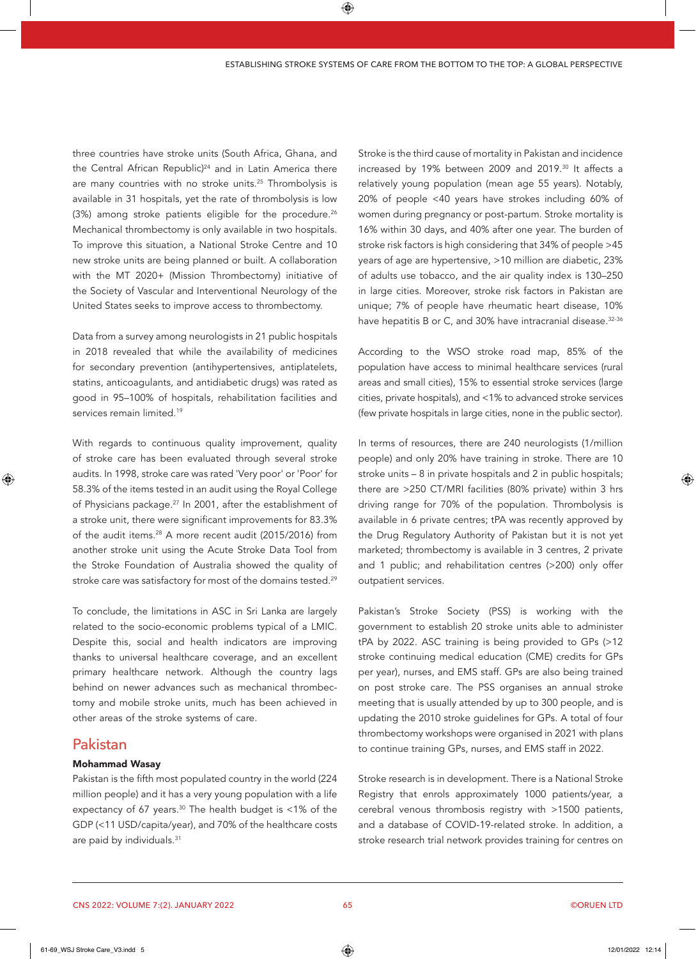three countries have stroke units (South Africa, Ghana, and the Central African Republic)<sup>24</sup> and in Latin America there are many countries with no stroke units.<sup>25</sup> Thrombolysis is available in 31 hospitals, yet the rate of thrombolysis is low (3%) among stroke patients eligible for the procedure.<sup>26</sup> Mechanical thrombectomy is only available in two hospitals. To improve this situation, a National Stroke Centre and 10 new stroke units are being planned or built. A collaboration with the MT 2020+ (Mission Thrombectomy) initiative of the Society of Vascular and Interventional Neurology of the United States seeks to improve access to thrombectomy.

Data from a survey among neurologists in 21 public hospitals in 2018 revealed that while the availability of medicines for secondary prevention (antihypertensives, antiplatelets, statins, anticoagulants, and antidiabetic drugs) was rated as good in 95-100% of hospitals, rehabilitation facilities and services remain limited 19

With regards to continuous quality improvement, quality of stroke care has been evaluated through several stroke audits. In 1998, stroke care was rated 'Very poor' or 'Poor' for 58.3% of the items tested in an audit using the Royal College of Physicians package.<sup>27</sup> In 2001, after the establishment of a stroke unit, there were significant improvements for 83.3% of the audit items.<sup>28</sup> A more recent audit (2015/2016) from another stroke unit using the Acute Stroke Data Tool from the Stroke Foundation of Australia showed the quality of stroke care was satisfactory for most of the domains tested.<sup>29</sup>

To conclude, the limitations in ASC in Sri Lanka are largely related to the socio-economic problems typical of a LMIC. Despite this, social and health indicators are improving thanks to universal healthcare coverage, and an excellent primary healthcare network. Although the country lags behind on newer advances such as mechanical thrombectomy and mobile stroke units, much has been achieved in other areas of the stroke systems of care.

## Pakistan

#### **Mohammad Wasay**

Pakistan is the fifth most populated country in the world (224 million people) and it has a very young population with a life expectancy of 67 years.<sup>30</sup> The health budget is <1% of the GDP (<11 USD/capita/year), and 70% of the healthcare costs are paid by individuals.<sup>31</sup>

Stroke is the third cause of mortality in Pakistan and incidence increased by 19% between 2009 and 2019.<sup>30</sup> It affects a relatively young population (mean age 55 years). Notably, 20% of people <40 years have strokes including 60% of women during pregnancy or post-partum. Stroke mortality is 16% within 30 days, and 40% after one year. The burden of stroke risk factors is high considering that 34% of people >45 years of age are hypertensive, >10 million are diabetic, 23% of adults use tobacco, and the air quality index is 130-250 in large cities. Moreover, stroke risk factors in Pakistan are unique; 7% of people have rheumatic heart disease, 10% have hepatitis B or C, and 30% have intracranial disease.<sup>32-36</sup>

According to the WSO stroke road map, 85% of the population have access to minimal healthcare services (rural areas and small cities), 15% to essential stroke services (large cities, private hospitals), and <1% to advanced stroke services (few private hospitals in large cities, none in the public sector).

In terms of resources, there are 240 neurologists (1/million people) and only 20% have training in stroke. There are 10 stroke units - 8 in private hospitals and 2 in public hospitals; there are >250 CT/MRI facilities (80% private) within 3 hrs driving range for 70% of the population. Thrombolysis is available in 6 private centres; tPA was recently approved by the Drug Regulatory Authority of Pakistan but it is not yet marketed; thrombectomy is available in 3 centres, 2 private and 1 public; and rehabilitation centres (>200) only offer outpatient services.

Pakistan's Stroke Society (PSS) is working with the government to establish 20 stroke units able to administer tPA by 2022. ASC training is being provided to GPs (>12 stroke continuing medical education (CME) credits for GPs per year), nurses, and EMS staff. GPs are also being trained on post stroke care. The PSS organises an annual stroke meeting that is usually attended by up to 300 people, and is updating the 2010 stroke guidelines for GPs. A total of four thrombectomy workshops were organised in 2021 with plans to continue training GPs, nurses, and EMS staff in 2022.

Stroke research is in development. There is a National Stroke Registry that enrols approximately 1000 patients/year, a cerebral venous thrombosis registry with >1500 patients, and a database of COVID-19-related stroke. In addition, a stroke research trial network provides training for centres on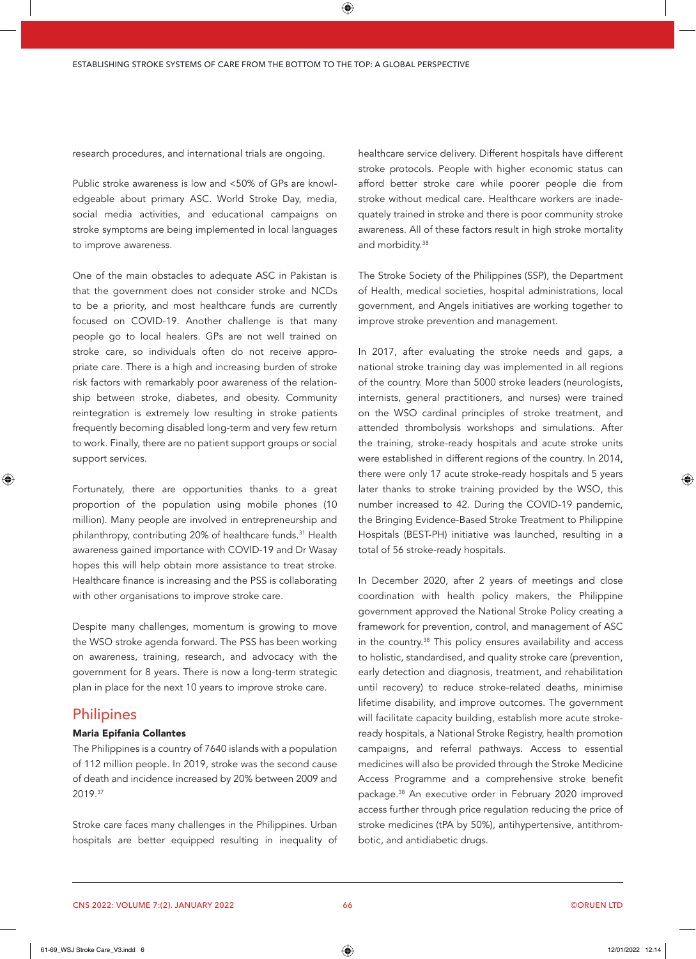research procedures, and international trials are ongoing.

Public stroke awareness is low and <50% of GPs are knowledgeable about primary ASC. World Stroke Day, media, social media activities, and educational campaigns on stroke symptoms are being implemented in local languages to improve awareness.

One of the main obstacles to adequate ASC in Pakistan is that the government does not consider stroke and NCDs to be a priority, and most healthcare funds are currently focused on COVID-19. Another challenge is that many people go to local healers. GPs are not well trained on stroke care, so individuals often do not receive appropriate care. There is a high and increasing burden of stroke risk factors with remarkably poor awareness of the relationship between stroke, diabetes, and obesity. Community reintegration is extremely low resulting in stroke patients frequently becoming disabled long-term and very few return to work. Finally, there are no patient support groups or social support services.

Fortunately, there are opportunities thanks to a great proportion of the population using mobile phones (10 million). Many people are involved in entrepreneurship and philanthropy, contributing 20% of healthcare funds.<sup>31</sup> Health awareness gained importance with COVID-19 and Dr Wasay hopes this will help obtain more assistance to treat stroke. Healthcare finance is increasing and the PSS is collaborating with other organisations to improve stroke care.

Despite many challenges, momentum is growing to move the WSO stroke agenda forward. The PSS has been working on awareness, training, research, and advocacy with the government for 8 years. There is now a long-term strategic plan in place for the next 10 years to improve stroke care.

## **Philipines**

#### Maria Epifania Collantes

The Philippines is a country of 7640 islands with a population of 112 million people. In 2019, stroke was the second cause of death and incidence increased by 20% between 2009 and 2019.37

Stroke care faces many challenges in the Philippines. Urban hospitals are better equipped resulting in inequality of

healthcare service delivery. Different hospitals have different stroke protocols. People with higher economic status can afford better stroke care while poorer people die from stroke without medical care. Healthcare workers are inadequately trained in stroke and there is poor community stroke awareness. All of these factors result in high stroke mortality and morbidity.38

The Stroke Society of the Philippines (SSP), the Department of Health, medical societies, hospital administrations, local government, and Angels initiatives are working together to improve stroke prevention and management.

In 2017, after evaluating the stroke needs and gaps, a national stroke training day was implemented in all regions of the country. More than 5000 stroke leaders (neurologists, internists, general practitioners, and nurses) were trained on the WSO cardinal principles of stroke treatment, and attended thrombolysis workshops and simulations. After the training, stroke-ready hospitals and acute stroke units were established in different regions of the country. In 2014, there were only 17 acute stroke-ready hospitals and 5 years later thanks to stroke training provided by the WSO, this number increased to 42. During the COVID-19 pandemic, the Bringing Evidence-Based Stroke Treatment to Philippine Hospitals (BEST-PH) initiative was launched, resulting in a total of 56 stroke-ready hospitals.

In December 2020, after 2 years of meetings and close coordination with health policy makers, the Philippine government approved the National Stroke Policy creating a framework for prevention, control, and management of ASC in the country.38 This policy ensures availability and access to holistic, standardised, and quality stroke care (prevention, early detection and diagnosis, treatment, and rehabilitation until recovery) to reduce stroke-related deaths, minimise lifetime disability, and improve outcomes. The government will facilitate capacity building, establish more acute strokeready hospitals, a National Stroke Registry, health promotion campaigns, and referral pathways. Access to essential medicines will also be provided through the Stroke Medicine Access Programme and a comprehensive stroke benefit package.38 An executive order in February 2020 improved access further through price regulation reducing the price of stroke medicines (tPA by 50%), antihypertensive, antithrombotic, and antidiabetic drugs.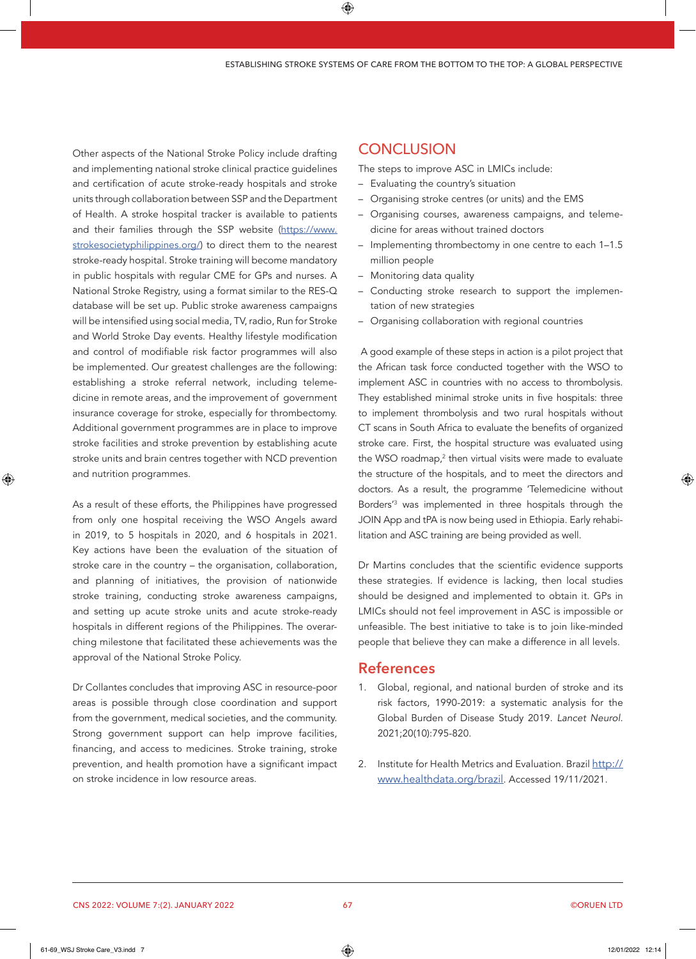Other aspects of the National Stroke Policy include drafting and implementing national stroke clinical practice quidelines and certification of acute stroke-ready hospitals and stroke units through collaboration between SSP and the Department of Health. A stroke hospital tracker is available to patients and their families through the SSP website (https://www. strokesocietyphilippines.org/) to direct them to the nearest stroke-ready hospital. Stroke training will become mandatory in public hospitals with regular CME for GPs and nurses. A National Stroke Registry, using a format similar to the RES-Q database will be set up. Public stroke awareness campaigns will be intensified using social media, TV, radio, Run for Stroke and World Stroke Day events. Healthy lifestyle modification and control of modifiable risk factor programmes will also be implemented. Our greatest challenges are the following: establishing a stroke referral network, including telemedicine in remote areas, and the improvement of government insurance coverage for stroke, especially for thrombectomy. Additional government programmes are in place to improve stroke facilities and stroke prevention by establishing acute stroke units and brain centres together with NCD prevention and nutrition programmes.

As a result of these efforts, the Philippines have progressed from only one hospital receiving the WSO Angels award in 2019, to 5 hospitals in 2020, and 6 hospitals in 2021. Key actions have been the evaluation of the situation of stroke care in the country - the organisation, collaboration, and planning of initiatives, the provision of nationwide stroke training, conducting stroke awareness campaigns, and setting up acute stroke units and acute stroke-ready hospitals in different regions of the Philippines. The overarching milestone that facilitated these achievements was the approval of the National Stroke Policy.

Dr Collantes concludes that improving ASC in resource-poor areas is possible through close coordination and support from the government, medical societies, and the community. Strong government support can help improve facilities, financing, and access to medicines. Stroke training, stroke prevention, and health promotion have a significant impact on stroke incidence in low resource areas.

## **CONCLUSION**

The steps to improve ASC in LMICs include:

- Evaluating the country's situation
- Organising stroke centres (or units) and the EMS
- Organising courses, awareness campaigns, and telemedicine for areas without trained doctors
- Implementing thrombectomy in one centre to each 1-1.5 million people
- Monitoring data quality
- Conducting stroke research to support the implementation of new strategies
- Organising collaboration with regional countries

A good example of these steps in action is a pilot project that the African task force conducted together with the WSO to implement ASC in countries with no access to thrombolysis. They established minimal stroke units in five hospitals: three to implement thrombolysis and two rural hospitals without CT scans in South Africa to evaluate the benefits of organized stroke care. First, the hospital structure was evaluated using the WSO roadmap,<sup>2</sup> then virtual visits were made to evaluate the structure of the hospitals, and to meet the directors and doctors. As a result, the programme 'Telemedicine without Borders<sup>'3</sup> was implemented in three hospitals through the JOIN App and tPA is now being used in Ethiopia. Early rehabilitation and ASC training are being provided as well.

Dr Martins concludes that the scientific evidence supports these strategies. If evidence is lacking, then local studies should be designed and implemented to obtain it. GPs in LMICs should not feel improvement in ASC is impossible or unfeasible. The best initiative to take is to join like-minded people that believe they can make a difference in all levels.

## **References**

- 1. Global, regional, and national burden of stroke and its risk factors, 1990-2019: a systematic analysis for the Global Burden of Disease Study 2019. Lancet Neurol. 2021;20(10):795-820.
- 2. Institute for Health Metrics and Evaluation. Brazil http:// www.healthdata.org/brazil. Accessed 19/11/2021.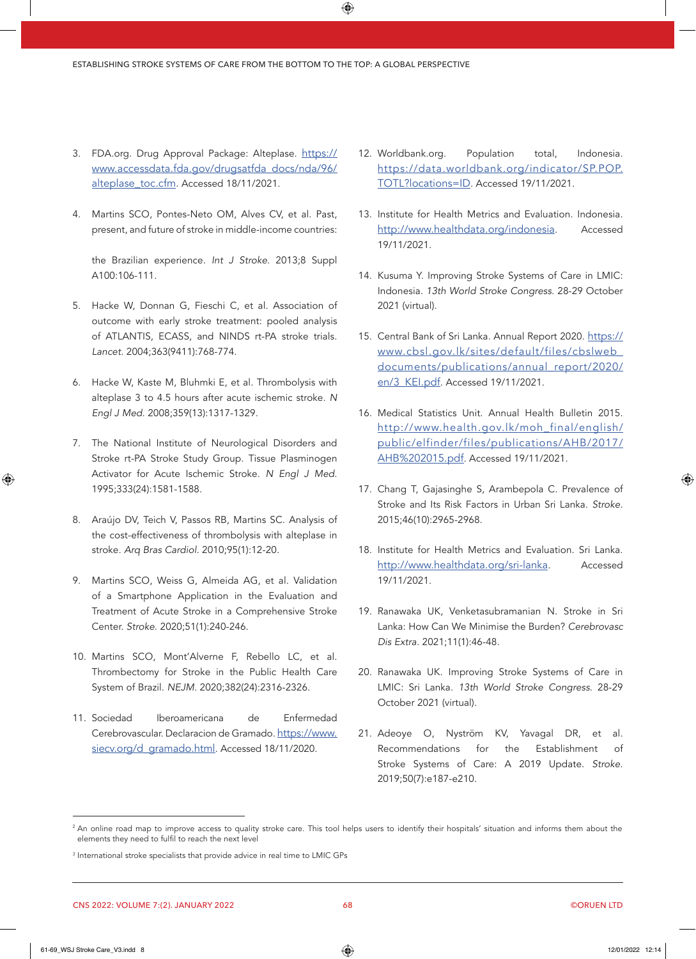- 3. FDA.org. Drug Approval Package: Alteplase. [https://](https://www.accessdata.fda.gov/drugsatfda_docs/nda/96/alteplase_toc.cfm) [www.accessdata.fda.gov/drugsatfda\\_docs/nda/96/](https://www.accessdata.fda.gov/drugsatfda_docs/nda/96/alteplase_toc.cfm) [alteplase\\_toc.cfm.](https://www.accessdata.fda.gov/drugsatfda_docs/nda/96/alteplase_toc.cfm) Accessed 18/11/2021.
- 4. Martins SCO, Pontes-Neto OM, Alves CV, et al. Past, present, and future of stroke in middle-income countries:

the Brazilian experience. Int J Stroke. 2013;8 Suppl A100:106-111.

- 5. Hacke W, Donnan G, Fieschi C, et al. Association of outcome with early stroke treatment: pooled analysis of ATLANTIS, ECASS, and NINDS rt-PA stroke trials. Lancet. 2004;363(9411):768-774.
- 6. Hacke W, Kaste M, Bluhmki E, et al. Thrombolysis with alteplase 3 to 4.5 hours after acute ischemic stroke. N Engl J Med. 2008;359(13):1317-1329.
- 7. The National Institute of Neurological Disorders and Stroke rt-PA Stroke Study Group. Tissue Plasminogen Activator for Acute Ischemic Stroke. N Engl J Med. 1995;333(24):1581-1588.
- 8. Araújo DV, Teich V, Passos RB, Martins SC. Analysis of the cost-effectiveness of thrombolysis with alteplase in stroke. Arq Bras Cardiol. 2010;95(1):12-20.
- 9. Martins SCO, Weiss G, Almeida AG, et al. Validation of a Smartphone Application in the Evaluation and Treatment of Acute Stroke in a Comprehensive Stroke Center. Stroke. 2020;51(1):240-246.
- 10. Martins SCO, Mont'Alverne F, Rebello LC, et al. Thrombectomy for Stroke in the Public Health Care System of Brazil. NEJM. 2020;382(24):2316-2326.
- 11. Sociedad Iberoamericana de Enfermedad Cerebrovascular. Declaracion de Gramado. [https://www.](https://www.siecv.org/d_gramado.html) [siecv.org/d\\_gramado.html](https://www.siecv.org/d_gramado.html). Accessed 18/11/2020.
- 12. Worldbank.org. Population total, Indonesia. [https://data.worldbank.org/indicator/SP.POP.](https://data.worldbank.org/indicator/SP.POP.TOTL?locations=ID) [TOTL?locations=ID.](https://data.worldbank.org/indicator/SP.POP.TOTL?locations=ID) Accessed 19/11/2021.
- 13. Institute for Health Metrics and Evaluation. Indonesia. [http://www.healthdata.org/indonesia.](http://www.healthdata.org/indonesia) Accessed 19/11/2021.
- 14. Kusuma Y. Improving Stroke Systems of Care in LMIC: Indonesia. 13th World Stroke Congress. 28-29 October 2021 (virtual).
- 15. Central Bank of Sri Lanka. Annual Report 2020. [https://](https://www.cbsl.gov.lk/sites/default/files/cbslweb_documents/publications/annual_report/2020/en/3_KEI.pdf) [www.cbsl.gov.lk/sites/default/files/cbslweb\\_](https://www.cbsl.gov.lk/sites/default/files/cbslweb_documents/publications/annual_report/2020/en/3_KEI.pdf) [documents/publications/annual\\_report/2020/](https://www.cbsl.gov.lk/sites/default/files/cbslweb_documents/publications/annual_report/2020/en/3_KEI.pdf) en/3 KEI.pdf. Accessed 19/11/2021.
- 16. Medical Statistics Unit. Annual Health Bulletin 2015. [http://www.health.gov.lk/moh\\_final/english/](http://www.health.gov.lk/moh_final/english/public/elfinder/files/publications/AHB/2017/AHB%202015.pdf) [public/elfinder/files/publications/AHB/2017/](http://www.health.gov.lk/moh_final/english/public/elfinder/files/publications/AHB/2017/AHB%202015.pdf) [AHB%202015.pdf](http://www.health.gov.lk/moh_final/english/public/elfinder/files/publications/AHB/2017/AHB%202015.pdf). Accessed 19/11/2021.
- 17. Chang T, Gajasinghe S, Arambepola C. Prevalence of Stroke and Its Risk Factors in Urban Sri Lanka. Stroke. 2015:46(10):2965-2968.
- 18. Institute for Health Metrics and Evaluation. Sri Lanka. <http://www.healthdata.org/sri-lanka>. Accessed 19/11/2021.
- 19. Ranawaka UK, Venketasubramanian N. Stroke in Sri Lanka: How Can We Minimise the Burden? Cerebrovasc Dis Extra. 2021;11(1):46-48.
- 20. Ranawaka UK. Improving Stroke Systems of Care in LMIC: Sri Lanka. 13th World Stroke Congress. 28-29 October 2021 (virtual).
- 21. Adeoye O, Nyström KV, Yavagal DR, et al. Recommendations for the Establishment of Stroke Systems of Care: A 2019 Update. Stroke. 2019;50(7):e187-e210.

<sup>&</sup>lt;sup>2</sup> An online road map to improve access to quality stroke care. This tool helps users to identify their hospitals' situation and informs them about the elements they need to fulfil to reach the next level

<sup>&</sup>lt;sup>3</sup> International stroke specialists that provide advice in real time to LMIC GPs